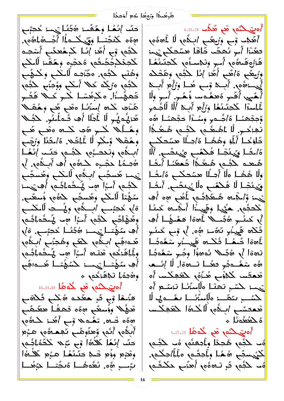هُرِهُدهُا وَرُوهُا هُو أَوْحَدُا

حَفّ إِنَّمَا وِهَقَٰ ۚ هُجَٰنًا يَهِمْ كُحِبُّب هِهُهِ كُلْجَسًا وَيُّكُمُ أَكْسُرُهُ إِهْمِهِ. لْكُمْمٍ فِي أُهُدَ إِسَّا كَبِمُعْتُبٍ أَسْجَـهِ ݣْحِكْدْخِكْتْمَى مُحْتِّبْهِ وِهُقُّىْ لِّاحْكَمِ وِهُنْمِ لِكَبُمِ, ۚ هَبَّتِهِ لَاعْلَمِ وِكُلَّهُمْ لمَثْمَهِ وَرَكْدُ مُمَلاً أَسْلَمٍ وَوُجَنَّمٍ لِمَثْمَهِ تُعَهُّـزًا. هكْبِعُسْـا كْبِرْ كَــلًا فَعُبْرِ هُنْهِ لَاه إسْتُدًا هِمْعٍ هَٰعٍ وَهُهْمًا هُدَىُّـه هُبْر لَٰا ـٰٓآجِلَا أُڢ فُـه أَمبُو, ۖ ـِـاجَّــلا وِهُـأَلا كُـبرٍ هَٰبَ كَــهِ هَفَــمٍ هَٰــمٍ وِهُهْلا وَمِكْدٍ لَا غَلِظُلا. هَامتَنَا وَرُضِيَ ابْخُامِ وِتَحْصَبُومِ ۖ حَشِّمِ حَتَّبٍ إِنَّهُـا هُجِــةُ إِلَيْهِ مِنْ حَدَّةٍ مِنْ أَبْ أَبْ ذُهرٍ. أَبِي بَهْسَجَّسَةٍ مِكَمَّالٌ مِمْلَا مِجْسَمٌ مَبْرِيَّ<br>مَسْ الْمَالِدِينَ مِنْ أَجْلاً مِنْ مَجْمَعَ مَّهُمَا لَّاسَكُ وَهُسَجَّهِ لِاهُمْ وُسَعَّبٍ.<br>6) خُدَّبُبِ ابْتِمُّهْ وَنُسْدٍ لِّاسْمِ مِعَهْلِكُم حَجَّمَ ابْهِ! هِ مَعْكُمُ مِكْلَهُمْ أَهِ مَكْهُمْـانِّي بِ هُكُنُـا هُجَّىبِ وَأَ مُعَاهَبِ ابْنُهُمْ لَمَكُمْ وَهُجَنُمِ ابْلُهُمْ رِمِـأَلِمَـٰكُمْ لَهِ أَبْـِ ۚ أَمَّا مِنْ يَمْدُهَاجُمْ أَڢ مَكْهُنْسا يْبِيسْ: حَمَّكُمْسَا هُــوَّقِي وهُجمُهٔ لَجْعَنْكُم \* أەت حمَّى مَعْ هُدَه الله 16.14.18 َفَنُنْهَا فِي ثَبِ حَقَّدَه 2ُكْبٍ ثُلاَةَب هَؤُلا وِؤُسِعَُى 500 تَتْعَفَّاً مَعَيْمَى وَهُهِ شَدَّهُ عَمْدَ وَبِّ أَهْدَ لَحْدُهُمْ أَبِدُّهِ أَنَّهِ وَمِدَّوِهُمٍ نَجْمَدَةُهِ هِبُمْ حَسَّ إِنَّهُا كَلَاهُا فِي يُرِيم كَذُّهُ اجْتُمْ وَسَنَّمَ

وقدم وؤم كبا حتَّبتُهُا عَزْمِ لَلْأَبَّهُا

بَرْحِجِ وَهُو. تُعْدِهُــا هُبِجْتِـا جَرْهُــا

وَرُبِعَيْهِ هَاهُيهِ أُهُدَ إِبْلَ حَقِّمٍ وِهَجْحَم لِّكَ -:هُوب. أَبْناهُ قِبْ هُـا وَرُأَهِ أَبْناهُ<br>أَيْضَىٰ أَفَسِ ةَمْدَهُمِس وَيَثْبَرِ. أَمِـرِ وَلَهُ َلْمَامِدْا ۖ كَحِنّْمُهُا وَرُأَهِ ۖ أَبَـٰهَ ۚ أَلَّا لَّاجُّـٰءبِ وَجِجْعَنْـا }اجْـــمبر ومنْـــرْا حَجْعَنْـا ۞ه تَجْنُحْسِ لَا الصَّعْمِ لِكَتِّمِ هُـْعُــٰ\$ا خَاوْحُـا ٱيْأَوْ وِهُهُـا هَ/مِـلًا همّحكَــحِ الْمَالِمِينَ مِنْكُمْ الْمَدْرَىٰ الْمَاءَاهْ هُعده لَّجْمٍ هُعْكُمْاً خُعْفَدًا أَحْفًا وِلًا هُھُـا هَلَا آَمِـلًا همّحَكَــبِ هَ/محَّــا لَّـٰهُ ,مِـضَّـٰلُ الْمَـٰهُ ﴾ [الْجَنْرِينَ ﴾ [السَّفْرِينَ ﴾ [السَّفْرِينَ ﴾ [السَّفْر يْبِ: وَٱلْمَلْدَاهِ هُلْكُلِمَتُمْ يَأْهُلُ مِنْ أُبْ كَحدَّمٍ, هَنُّهَا وِضَّىٰٓ أَكْبَرَ مَنْ كَمِنْهَا قُلُاه فَي ُبْرِ نَهُم: ﴿ وَهُمْ أَلِي قَوْمِ كَمِلْبِرِ لْمَوْهَا خُمْسًا ثَكْلُهُ فَيِلْبُرِ سْهُوجُلْ تَّەەْلُ لَاھُمَىلا ئەھۇل وِجُبو سْھُەجُىل وَّە مْكَــەبُر نەل ئــــەۋل لَا الْـــعا تَعْمَتُسَا لَكُمْفُو مُحَوَّى الْمُتَحَمَّسَاتُ أَنَّا يْهِمْ لِكُمُّمِ تَعْفَلُ وَلَأَسْتَئِلُ نَهْتُم أَه لأَسْبِ بِمَكْنٍ وَلَامِنُوْسُا بِمُسْمَلِي لَل تحمصتهم ابنكُم للكسك للتحكيم هُ لِحُعُدُونَا ﴾ أوت حميد من مشكر فيه المستوى <mark>ُ</mark>ف حَثِّم هُجداً وِبْحِفسُ هُبِ حَثَّم لْكَيُسِتُم شُمُّا بِٱحِثُمْ مِٱلْمُ*احِكُمْ).* ۇب لېئىم ئې ئىھۋەر أھبَّى بېڭىئىم

أەٽىكىگە قىم ھُكە 4.16.24

تَعَمَّرُا أَبِ تُعَجِّبَ خَافًا هِمَّدَكُم يَ نَ

ْفَرْوُوَفّْشُومْ أُسِرْ وِلْكِسْلُومْ كْلِحِلّْمُلْمُا